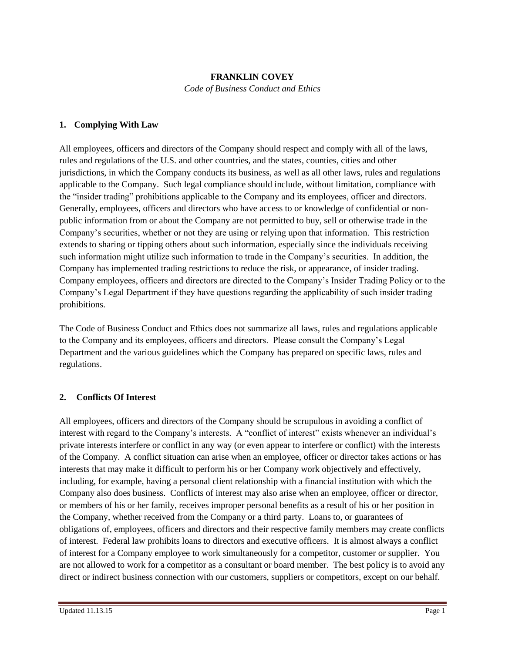#### **FRANKLIN COVEY**

*Code of Business Conduct and Ethics*

#### **1. Complying With Law**

All employees, officers and directors of the Company should respect and comply with all of the laws, rules and regulations of the U.S. and other countries, and the states, counties, cities and other jurisdictions, in which the Company conducts its business, as well as all other laws, rules and regulations applicable to the Company. Such legal compliance should include, without limitation, compliance with the "insider trading" prohibitions applicable to the Company and its employees, officer and directors. Generally, employees, officers and directors who have access to or knowledge of confidential or nonpublic information from or about the Company are not permitted to buy, sell or otherwise trade in the Company's securities, whether or not they are using or relying upon that information. This restriction extends to sharing or tipping others about such information, especially since the individuals receiving such information might utilize such information to trade in the Company's securities. In addition, the Company has implemented trading restrictions to reduce the risk, or appearance, of insider trading. Company employees, officers and directors are directed to the Company's Insider Trading Policy or to the Company's Legal Department if they have questions regarding the applicability of such insider trading prohibitions.

The Code of Business Conduct and Ethics does not summarize all laws, rules and regulations applicable to the Company and its employees, officers and directors. Please consult the Company's Legal Department and the various guidelines which the Company has prepared on specific laws, rules and regulations.

#### **2. Conflicts Of Interest**

All employees, officers and directors of the Company should be scrupulous in avoiding a conflict of interest with regard to the Company's interests. A "conflict of interest" exists whenever an individual's private interests interfere or conflict in any way (or even appear to interfere or conflict) with the interests of the Company. A conflict situation can arise when an employee, officer or director takes actions or has interests that may make it difficult to perform his or her Company work objectively and effectively, including, for example, having a personal client relationship with a financial institution with which the Company also does business. Conflicts of interest may also arise when an employee, officer or director, or members of his or her family, receives improper personal benefits as a result of his or her position in the Company, whether received from the Company or a third party. Loans to, or guarantees of obligations of, employees, officers and directors and their respective family members may create conflicts of interest. Federal law prohibits loans to directors and executive officers. It is almost always a conflict of interest for a Company employee to work simultaneously for a competitor, customer or supplier. You are not allowed to work for a competitor as a consultant or board member. The best policy is to avoid any direct or indirect business connection with our customers, suppliers or competitors, except on our behalf.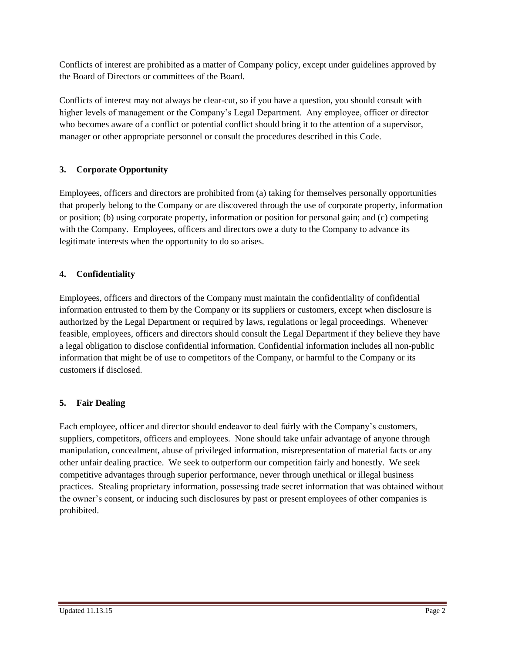Conflicts of interest are prohibited as a matter of Company policy, except under guidelines approved by the Board of Directors or committees of the Board.

Conflicts of interest may not always be clear-cut, so if you have a question, you should consult with higher levels of management or the Company's Legal Department. Any employee, officer or director who becomes aware of a conflict or potential conflict should bring it to the attention of a supervisor, manager or other appropriate personnel or consult the procedures described in this Code.

## **3. Corporate Opportunity**

Employees, officers and directors are prohibited from (a) taking for themselves personally opportunities that properly belong to the Company or are discovered through the use of corporate property, information or position; (b) using corporate property, information or position for personal gain; and (c) competing with the Company. Employees, officers and directors owe a duty to the Company to advance its legitimate interests when the opportunity to do so arises.

## **4. Confidentiality**

Employees, officers and directors of the Company must maintain the confidentiality of confidential information entrusted to them by the Company or its suppliers or customers, except when disclosure is authorized by the Legal Department or required by laws, regulations or legal proceedings. Whenever feasible, employees, officers and directors should consult the Legal Department if they believe they have a legal obligation to disclose confidential information. Confidential information includes all non-public information that might be of use to competitors of the Company, or harmful to the Company or its customers if disclosed.

# **5. Fair Dealing**

Each employee, officer and director should endeavor to deal fairly with the Company's customers, suppliers, competitors, officers and employees. None should take unfair advantage of anyone through manipulation, concealment, abuse of privileged information, misrepresentation of material facts or any other unfair dealing practice. We seek to outperform our competition fairly and honestly. We seek competitive advantages through superior performance, never through unethical or illegal business practices. Stealing proprietary information, possessing trade secret information that was obtained without the owner's consent, or inducing such disclosures by past or present employees of other companies is prohibited.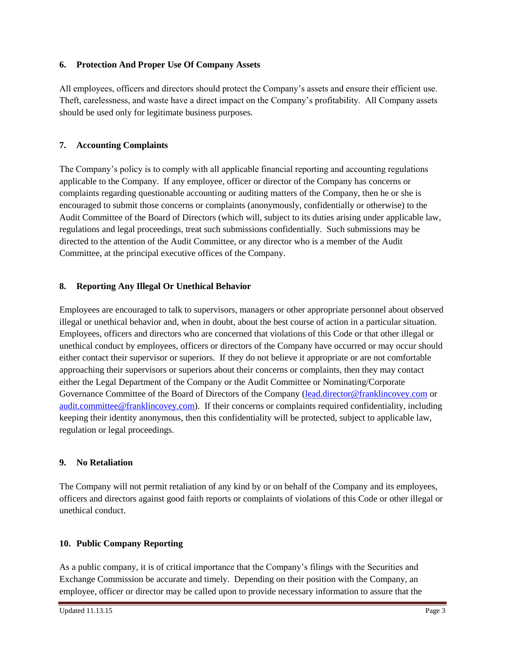#### **6. Protection And Proper Use Of Company Assets**

All employees, officers and directors should protect the Company's assets and ensure their efficient use. Theft, carelessness, and waste have a direct impact on the Company's profitability. All Company assets should be used only for legitimate business purposes.

## **7. Accounting Complaints**

The Company's policy is to comply with all applicable financial reporting and accounting regulations applicable to the Company. If any employee, officer or director of the Company has concerns or complaints regarding questionable accounting or auditing matters of the Company, then he or she is encouraged to submit those concerns or complaints (anonymously, confidentially or otherwise) to the Audit Committee of the Board of Directors (which will, subject to its duties arising under applicable law, regulations and legal proceedings, treat such submissions confidentially. Such submissions may be directed to the attention of the Audit Committee, or any director who is a member of the Audit Committee, at the principal executive offices of the Company.

## **8. Reporting Any Illegal Or Unethical Behavior**

Employees are encouraged to talk to supervisors, managers or other appropriate personnel about observed illegal or unethical behavior and, when in doubt, about the best course of action in a particular situation. Employees, officers and directors who are concerned that violations of this Code or that other illegal or unethical conduct by employees, officers or directors of the Company have occurred or may occur should either contact their supervisor or superiors. If they do not believe it appropriate or are not comfortable approaching their supervisors or superiors about their concerns or complaints, then they may contact either the Legal Department of the Company or the Audit Committee or Nominating/Corporate Governance Committee of the Board of Directors of the Company [\(lead.director@franklincovey.com](mailto:lead.director@franklincovey.com) or [audit.committee@franklincovey.com\)](mailto:audit.committee@franklincovey.com). If their concerns or complaints required confidentiality, including keeping their identity anonymous, then this confidentiality will be protected, subject to applicable law, regulation or legal proceedings.

## **9. No Retaliation**

The Company will not permit retaliation of any kind by or on behalf of the Company and its employees, officers and directors against good faith reports or complaints of violations of this Code or other illegal or unethical conduct.

## **10. Public Company Reporting**

As a public company, it is of critical importance that the Company's filings with the Securities and Exchange Commission be accurate and timely. Depending on their position with the Company, an employee, officer or director may be called upon to provide necessary information to assure that the